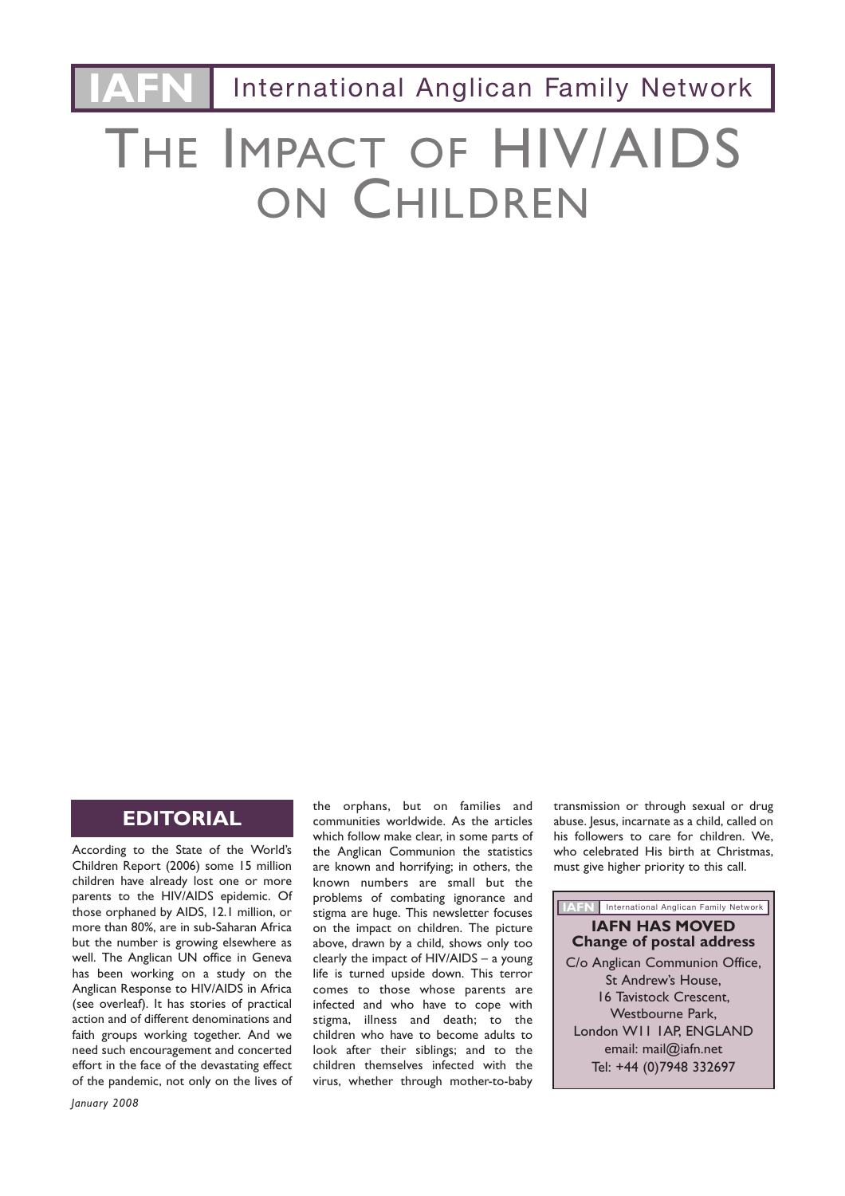**International Anglican Family Network** 

# THE IMPACT OF HIV/AIDS ON CHILDREN

## **EDITORIAL**

According to the State of the World's Children Report (2006) some 15 million children have already lost one or more parents to the HIV/AIDS epidemic. Of those orphaned by AIDS, 12.1 million, or more than 80%, are in sub-Saharan Africa but the number is growing elsewhere as well. The Anglican UN office in Geneva has been working on a study on the Anglican Response to HIV/AIDS in Africa (see overleaf). It has stories of practical action and of different denominations and faith groups working together. And we need such encouragement and concerted effort in the face of the devastating effect of the pandemic, not only on the lives of communities worldwide. As the articles which follow make clear, in some parts of the Anglican Communion the statistics are known and horrifying; in others, the known numbers are small but the problems of combating ignorance and stigma are huge. This newsletter focuses on the impact on children. The picture above, drawn by a child, shows only too clearly the impact of HIV/AIDS – a young life is turned upside down. This terror comes to those whose parents are infected and who have to cope with stigma, illness and death; to the children who have to become adults to look after their siblings; and to the children themselves infected with the virus, whether through mother-to-baby

the orphans, but on families and

transmission or through sexual or drug abuse. Jesus, incarnate as a child, called on his followers to care for children. We, who celebrated His birth at Christmas, must give higher priority to this call.

#### **IAFN** International Anglican Family Network

#### **IAFN HAS MOVED Change of postal address** C/o Anglican Communion Office,

St Andrew's House, 16 Tavistock Crescent, Westbourne Park, London W11 1AP, ENGLAND email: mail@iafn.net Tel: +44 (0)7948 332697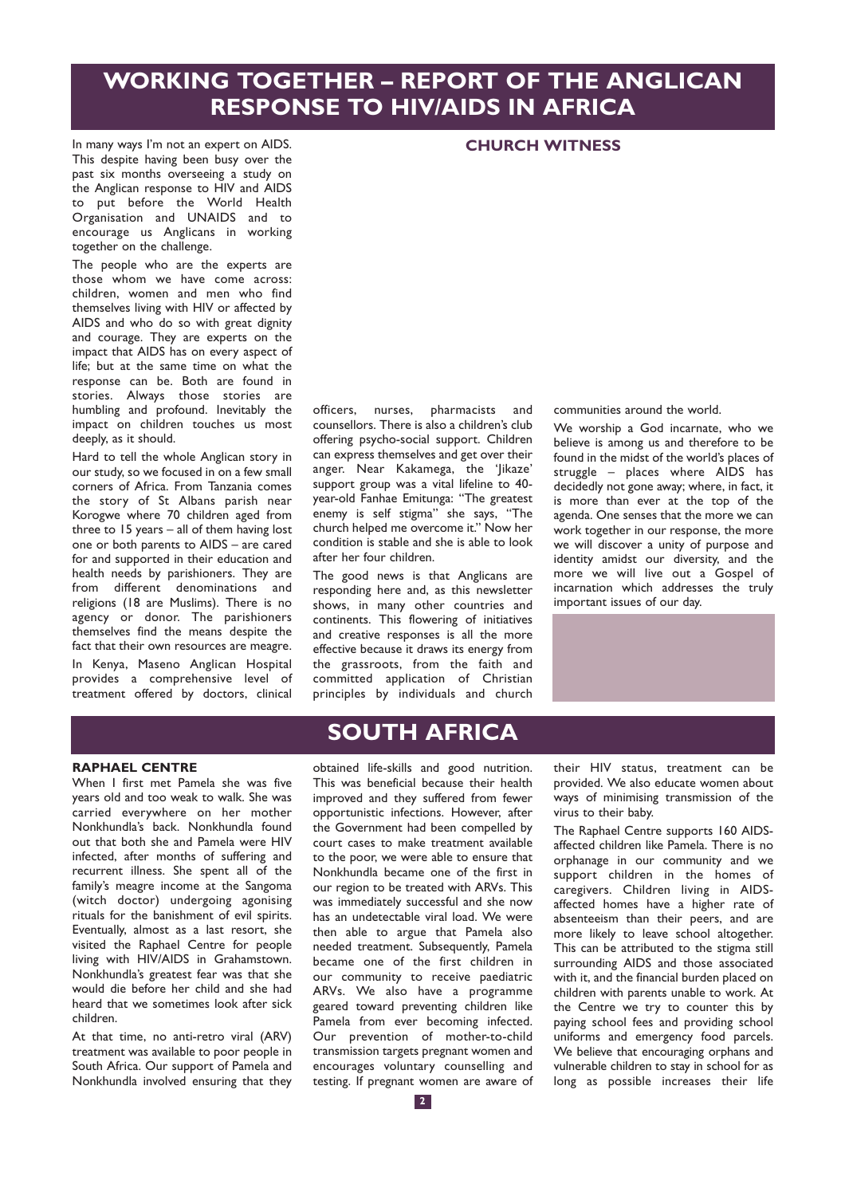# **WORKING TOGETHER – REPORT OF THE ANGLICAN RESPONSE TO HIV/AIDS IN AFRICA**

**CHURCH WITNESS**

In many ways I'm not an expert on AIDS. This despite having been busy over the past six months overseeing a study on the Anglican response to HIV and AIDS to put before the World Health Organisation and UNAIDS and to encourage us Anglicans in working together on the challenge.

The people who are the experts are those whom we have come across: children, women and men who find themselves living with HIV or affected by AIDS and who do so with great dignity and courage. They are experts on the impact that AIDS has on every aspect of life; but at the same time on what the response can be. Both are found in stories. Always those stories are humbling and profound. Inevitably the impact on children touches us most deeply, as it should.

Hard to tell the whole Anglican story in our study, so we focused in on a few small corners of Africa. From Tanzania comes the story of St Albans parish near Korogwe where 70 children aged from three to 15 years – all of them having lost one or both parents to AIDS – are cared for and supported in their education and health needs by parishioners. They are from different denominations and religions (18 are Muslims). There is no agency or donor. The parishioners themselves find the means despite the fact that their own resources are meagre. In Kenya, Maseno Anglican Hospital provides a comprehensive level of treatment offered by doctors, clinical officers, nurses, pharmacists and counsellors. There is also a children's club offering psycho-social support. Children can express themselves and get over their anger. Near Kakamega, the 'Jikaze' support group was a vital lifeline to 40 year-old Fanhae Emitunga: "The greatest enemy is self stigma" she says, "The church helped me overcome it." Now her condition is stable and she is able to look after her four children.

The good news is that Anglicans are responding here and, as this newsletter shows, in many other countries and continents. This flowering of initiatives and creative responses is all the more effective because it draws its energy from the grassroots, from the faith and committed application of Christian principles by individuals and church communities around the world.

We worship a God incarnate, who we believe is among us and therefore to be found in the midst of the world's places of struggle – places where AIDS has decidedly not gone away; where, in fact, it is more than ever at the top of the agenda. One senses that the more we can work together in our response, the more we will discover a unity of purpose and identity amidst our diversity, and the more we will live out a Gospel of incarnation which addresses the truly important issues of our day.



#### **RAPHAEL CENTRE**

When I first met Pamela she was five years old and too weak to walk. She was carried everywhere on her mother Nonkhundla's back. Nonkhundla found out that both she and Pamela were HIV infected, after months of suffering and recurrent illness. She spent all of the family's meagre income at the Sangoma (witch doctor) undergoing agonising rituals for the banishment of evil spirits. Eventually, almost as a last resort, she visited the Raphael Centre for people living with HIV/AIDS in Grahamstown. Nonkhundla's greatest fear was that she would die before her child and she had heard that we sometimes look after sick children.

At that time, no anti-retro viral (ARV) treatment was available to poor people in South Africa. Our support of Pamela and Nonkhundla involved ensuring that they

## **SOUTH AFRICA**

obtained life-skills and good nutrition. This was beneficial because their health improved and they suffered from fewer opportunistic infections. However, after the Government had been compelled by court cases to make treatment available to the poor, we were able to ensure that Nonkhundla became one of the first in our region to be treated with ARVs. This was immediately successful and she now has an undetectable viral load. We were then able to argue that Pamela also needed treatment. Subsequently, Pamela became one of the first children in our community to receive paediatric ARVs. We also have a programme geared toward preventing children like Pamela from ever becoming infected. Our prevention of mother-to-child transmission targets pregnant women and encourages voluntary counselling and testing. If pregnant women are aware of their HIV status, treatment can be provided. We also educate women about ways of minimising transmission of the virus to their baby.

The Raphael Centre supports 160 AIDSaffected children like Pamela. There is no orphanage in our community and we support children in the homes of caregivers. Children living in AIDSaffected homes have a higher rate of absenteeism than their peers, and are more likely to leave school altogether. This can be attributed to the stigma still surrounding AIDS and those associated with it, and the financial burden placed on children with parents unable to work. At the Centre we try to counter this by paying school fees and providing school uniforms and emergency food parcels. We believe that encouraging orphans and vulnerable children to stay in school for as long as possible increases their life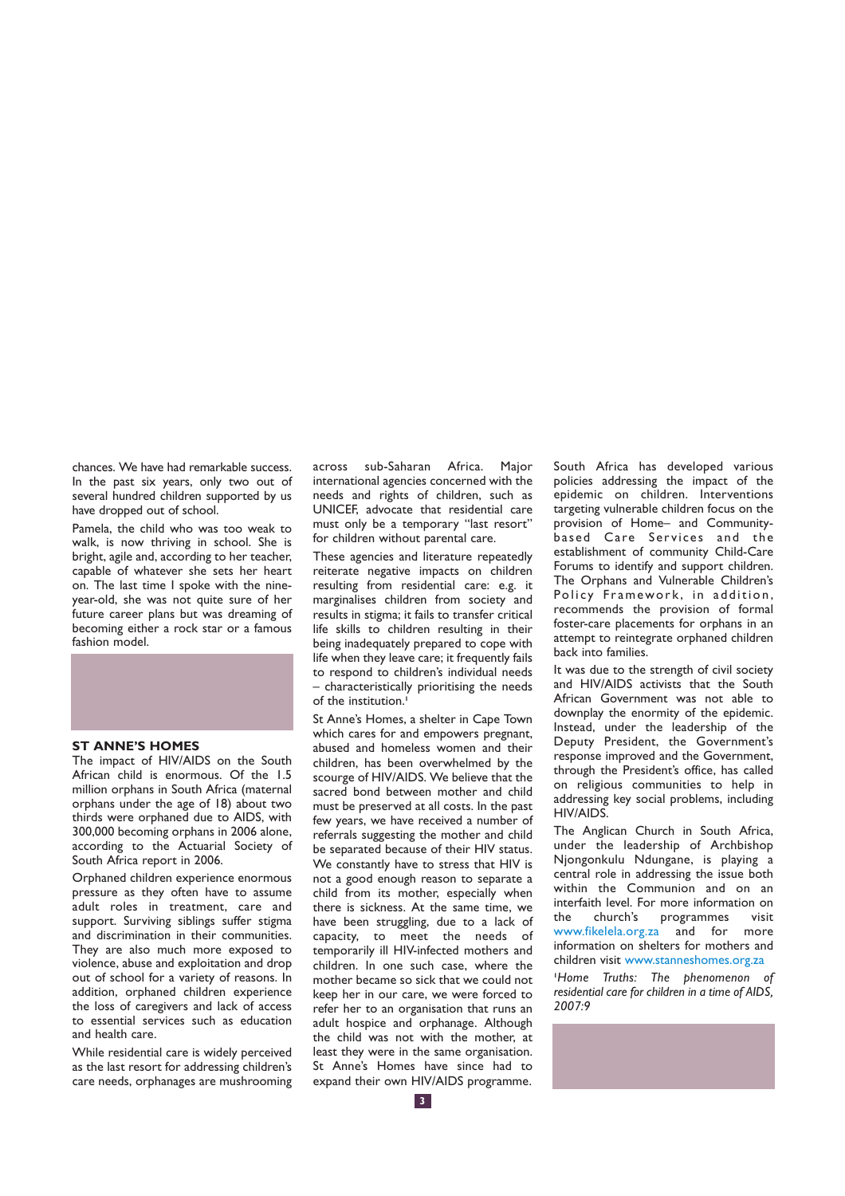chances. We have had remarkable success. In the past six years, only two out of several hundred children supported by us have dropped out of school.

Pamela, the child who was too weak to walk, is now thriving in school. She is bright, agile and, according to her teacher, capable of whatever she sets her heart on. The last time I spoke with the nineyear-old, she was not quite sure of her future career plans but was dreaming of becoming either a rock star or a famous fashion model



#### **ST ANNE'S HOMES**

The impact of HIV/AIDS on the South African child is enormous. Of the 1.5 million orphans in South Africa (maternal orphans under the age of 18) about two thirds were orphaned due to AIDS, with 300,000 becoming orphans in 2006 alone, according to the Actuarial Society of South Africa report in 2006.

Orphaned children experience enormous pressure as they often have to assume adult roles in treatment, care and support. Surviving siblings suffer stigma and discrimination in their communities. They are also much more exposed to violence, abuse and exploitation and drop out of school for a variety of reasons. In addition, orphaned children experience the loss of caregivers and lack of access to essential services such as education and health care.

While residential care is widely perceived as the last resort for addressing children's care needs, orphanages are mushrooming across sub-Saharan Africa. Major international agencies concerned with the needs and rights of children, such as UNICEF, advocate that residential care must only be a temporary "last resort" for children without parental care.

These agencies and literature repeatedly reiterate negative impacts on children resulting from residential care: e.g. it marginalises children from society and results in stigma; it fails to transfer critical life skills to children resulting in their being inadequately prepared to cope with life when they leave care; it frequently fails to respond to children's individual needs – characteristically prioritising the needs of the institution.**<sup>1</sup>**

St Anne's Homes, a shelter in Cape Town which cares for and empowers pregnant, abused and homeless women and their children, has been overwhelmed by the scourge of HIV/AIDS. We believe that the sacred bond between mother and child must be preserved at all costs. In the past few years, we have received a number of referrals suggesting the mother and child be separated because of their HIV status. We constantly have to stress that HIV is not a good enough reason to separate a child from its mother, especially when there is sickness. At the same time, we have been struggling, due to a lack of capacity, to meet the needs of temporarily ill HIV-infected mothers and children. In one such case, where the mother became so sick that we could not keep her in our care, we were forced to refer her to an organisation that runs an adult hospice and orphanage. Although the child was not with the mother, at least they were in the same organisation. St Anne's Homes have since had to expand their own HIV/AIDS programme.

South Africa has developed various policies addressing the impact of the .<br>epidemic on children. Interventions targeting vulnerable children focus on the provision of Home– and Communitybased Care Services and the establishment of community Child-Care Forums to identify and support children. The Orphans and Vulnerable Children's Policy Framework, in addition, recommends the provision of formal foster-care placements for orphans in an attempt to reintegrate orphaned children back into families.

It was due to the strength of civil society and HIV/AIDS activists that the South African Government was not able to downplay the enormity of the epidemic. Instead, under the leadership of the Deputy President, the Government's response improved and the Government, through the President's office, has called on religious communities to help in addressing key social problems, including HIV/AIDS.

The Anglican Church in South Africa, under the leadership of Archbishop Njongonkulu Ndungane, is playing a central role in addressing the issue both within the Communion and on an interfaith level. For more information on the church's programmes visit www.fikelela.org.za and for more information on shelters for mothers and children visit www.stanneshomes.org.za

**1** *Home Truths: The phenomenon of residential care for children in a time of AIDS, 2007:9*

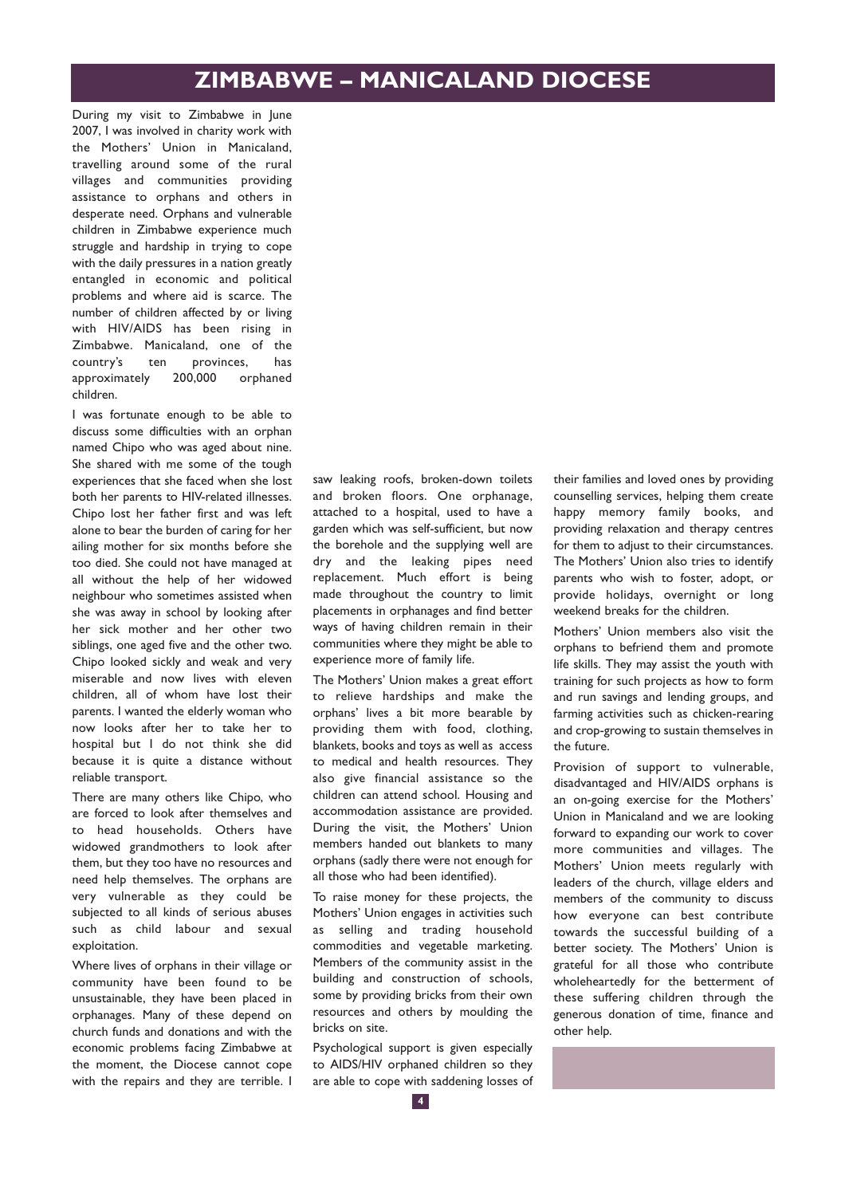During my visit to Zimbabwe in June 2007, I was involved in charity work with the Mothers' Union in Manicaland, travelling around some of the rural villages and communities providing assistance to orphans and others in desperate need. Orphans and vulnerable children in Zimbabwe experience much struggle and hardship in trying to cope with the daily pressures in a nation greatly entangled in economic and political problems and where aid is scarce. The number of children affected by or living with HIV/AIDS has been rising in Zimbabwe. Manicaland, one of the country's ten provinces, has approximately 200,000 orphaned children.

I was fortunate enough to be able to discuss some difficulties with an orphan named Chipo who was aged about nine. She shared with me some of the tough experiences that she faced when she lost both her parents to HIV-related illnesses. Chipo lost her father first and was left alone to bear the burden of caring for her ailing mother for six months before she too died. She could not have managed at all without the help of her widowed neighbour who sometimes assisted when she was away in school by looking after her sick mother and her other two siblings, one aged five and the other two. Chipo looked sickly and weak and very miserable and now lives with eleven children, all of whom have lost their parents. I wanted the elderly woman who now looks after her to take her to hospital but I do not think she did because it is quite a distance without reliable transport.

There are many others like Chipo, who are forced to look after themselves and to head households. Others have widowed grandmothers to look after them, but they too have no resources and need help themselves. The orphans are very vulnerable as they could be subjected to all kinds of serious abuses such as child labour and sexual exploitation.

Where lives of orphans in their village or community have been found to be unsustainable, they have been placed in orphanages. Many of these depend on church funds and donations and with the economic problems facing Zimbabwe at the moment, the Diocese cannot cope with the repairs and they are terrible. I saw leaking roofs, broken-down toilets and broken floors. One orphanage, attached to a hospital, used to have a garden which was self-sufficient, but now the borehole and the supplying well are dry and the leaking pipes need replacement. Much effort is being made throughout the country to limit placements in orphanages and find better ways of having children remain in their communities where they might be able to experience more of family life.

The Mothers' Union makes a great effort to relieve hardships and make the orphans' lives a bit more bearable by providing them with food, clothing, blankets, books and toys as well as access to medical and health resources. They also give financial assistance so the children can attend school. Housing and accommodation assistance are provided. During the visit, the Mothers' Union members handed out blankets to many orphans (sadly there were not enough for all those who had been identified).

To raise money for these projects, the Mothers' Union engages in activities such as selling and trading household commodities and vegetable marketing. Members of the community assist in the building and construction of schools, some by providing bricks from their own resources and others by moulding the bricks on site.

Psychological support is given especially to AIDS/HIV orphaned children so they are able to cope with saddening losses of their families and loved ones by providing counselling services, helping them create happy memory family books, and providing relaxation and therapy centres for them to adjust to their circumstances. The Mothers' Union also tries to identify parents who wish to foster, adopt, or provide holidays, overnight or long weekend breaks for the children.

Mothers' Union members also visit the orphans to befriend them and promote life skills. They may assist the youth with training for such projects as how to form and run savings and lending groups, and farming activities such as chicken-rearing and crop-growing to sustain themselves in the future.

Provision of support to vulnerable, disadvantaged and HIV/AIDS orphans is an on-going exercise for the Mothers' Union in Manicaland and we are looking forward to expanding our work to cover more communities and villages. The Mothers' Union meets regularly with leaders of the church, village elders and members of the community to discuss how everyone can best contribute towards the successful building of a better society. The Mothers' Union is grateful for all those who contribute wholeheartedly for the betterment of these suffering children through the generous donation of time, finance and other help.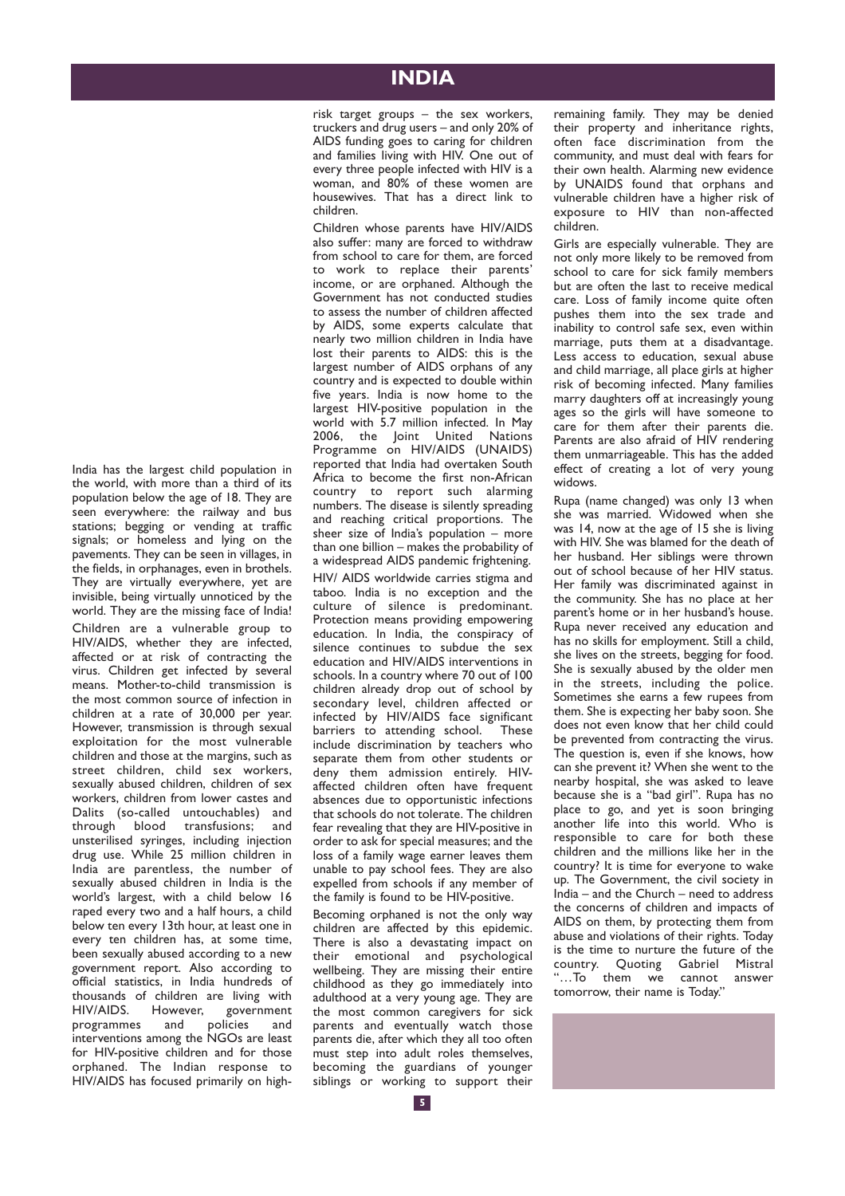## **INDIA**

risk target groups – the sex workers, truckers and drug users – and only 20% of AIDS funding goes to caring for children and families living with HIV. One out of every three people infected with HIV is a woman, and 80% of these women are housewives. That has a direct link to children.

Children whose parents have HIV/AIDS also suffer: many are forced to withdraw from school to care for them, are forced to work to replace their parents' income, or are orphaned. Although the Government has not conducted studies to assess the number of children affected by AIDS, some experts calculate that nearly two million children in India have lost their parents to AIDS: this is the largest number of AIDS orphans of any country and is expected to double within five years. India is now home to the largest HIV-positive population in the world with 5.7 million infected. In May 2006, the Joint United Nations Programme on HIV/AIDS (UNAIDS) reported that India had overtaken South Africa to become the first non-African country to report such alarming numbers. The disease is silently spreading and reaching critical proportions. The sheer size of India's population – more than one billion – makes the probability of a widespread AIDS pandemic frightening. HIV/ AIDS worldwide carries stigma and taboo. India is no exception and the culture of silence is predominant. Protection means providing empowering education. In India, the conspiracy of silence continues to subdue the sex education and HIV/AIDS interventions in schools. In a country where 70 out of 100 children already drop out of school by secondary level, children affected or infected by HIV/AIDS face significant harriers to attending school. These include discrimination by teachers who separate them from other students or deny them admission entirely. HIVaffected children often have frequent absences due to opportunistic infections that schools do not tolerate. The children fear revealing that they are HIV-positive in order to ask for special measures; and the loss of a family wage earner leaves them unable to pay school fees. They are also expelled from schools if any member of the family is found to be HIV-positive.

Becoming orphaned is not the only way children are affected by this epidemic. There is also a devastating impact on their emotional and psychological wellbeing. They are missing their entire childhood as they go immediately into adulthood at a very young age. They are the most common caregivers for sick parents and eventually watch those parents die, after which they all too often must step into adult roles themselves, becoming the guardians of younger siblings or working to support their remaining family. They may be denied their property and inheritance rights, often face discrimination from the community, and must deal with fears for their own health. Alarming new evidence by UNAIDS found that orphans and vulnerable children have a higher risk of exposure to HIV than non-affected children.

Girls are especially vulnerable. They are not only more likely to be removed from school to care for sick family members but are often the last to receive medical care. Loss of family income quite often pushes them into the sex trade and inability to control safe sex, even within marriage, puts them at a disadvantage. Less access to education, sexual abuse and child marriage, all place girls at higher risk of becoming infected. Many families marry daughters off at increasingly young ages so the girls will have someone to care for them after their parents die. Parents are also afraid of HIV rendering them unmarriageable. This has the added effect of creating a lot of very young widows.

Rupa (name changed) was only 13 when she was married. Widowed when she was 14, now at the age of 15 she is living with HIV. She was blamed for the death of her husband. Her siblings were thrown out of school because of her HIV status. Her family was discriminated against in the community. She has no place at her parent's home or in her husband's house. Rupa never received any education and has no skills for employment. Still a child, she lives on the streets, begging for food. She is sexually abused by the older men in the streets, including the police. Sometimes she earns a few rupees from them. She is expecting her baby soon. She does not even know that her child could be prevented from contracting the virus. The question is, even if she knows, how can she prevent it? When she went to the nearby hospital, she was asked to leave because she is a "bad girl". Rupa has no place to go, and yet is soon bringing another life into this world. Who is responsible to care for both these children and the millions like her in the country? It is time for everyone to wake up. The Government, the civil society in  $lndia$  – and the Church – need to address the concerns of children and impacts of AIDS on them, by protecting them from abuse and violations of their rights. Today is the time to nurture the future of the country. Quoting Gabriel Mistral "…To them we cannot answer tomorrow, their name is Today."

India has the largest child population in the world, with more than a third of its population below the age of 18. They are seen everywhere: the railway and bus stations; begging or vending at traffic signals; or homeless and lying on the pavements. They can be seen in villages, in the fields, in orphanages, even in brothels. They are virtually everywhere, yet are invisible, being virtually unnoticed by the world. They are the missing face of India! Children are a vulnerable group to HIV/AIDS, whether they are infected, affected or at risk of contracting the virus. Children get infected by several means. Mother-to-child transmission is the most common source of infection in children at a rate of 30,000 per year. However, transmission is through sexual exploitation for the most vulnerable children and those at the margins, such as street children, child sex workers, sexually abused children, children of sex workers, children from lower castes and Dalits (so-called untouchables) and through blood transfusions; and unsterilised syringes, including injection drug use. While 25 million children in India are parentless, the number of sexually abused children in India is the world's largest, with a child below 16 raped every two and a half hours, a child below ten every 13th hour, at least one in every ten children has, at some time, been sexually abused according to a new government report. Also according to official statistics, in India hundreds of thousands of children are living with<br>HIV/AIDS However government However, government<br>s and policies and programmes and policies and interventions among the NGOs are least for HIV-positive children and for those orphaned. The Indian response to HIV/AIDS has focused primarily on high-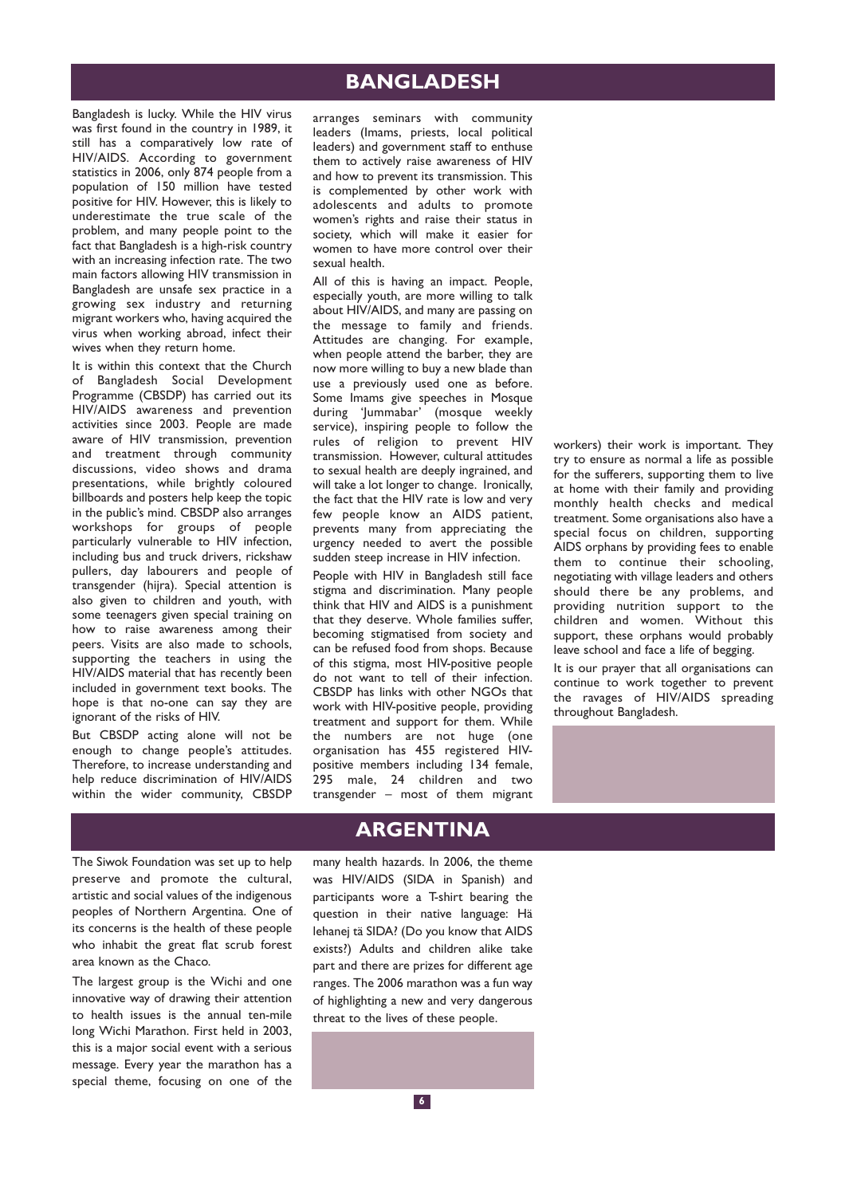## **BANGLADESH**

Bangladesh is lucky. While the HIV virus was first found in the country in 1989, it still has a comparatively low rate of HIV/AIDS. According to government statistics in 2006, only 874 people from a population of 150 million have tested positive for HIV. However, this is likely to underestimate the true scale of the problem, and many people point to the fact that Bangladesh is a high-risk country with an increasing infection rate. The two main factors allowing HIV transmission in Bangladesh are unsafe sex practice in a growing sex industry and returning migrant workers who, having acquired the virus when working abroad, infect their wives when they return home.

It is within this context that the Church of Bangladesh Social Development Programme (CBSDP) has carried out its HIV/AIDS awareness and prevention activities since 2003. People are made aware of HIV transmission, prevention and treatment through community discussions, video shows and drama presentations, while brightly coloured billboards and posters help keep the topic in the public's mind. CBSDP also arranges workshops for groups of people particularly vulnerable to HIV infection, including bus and truck drivers, rickshaw pullers, day labourers and people of transgender (hijra). Special attention is also given to children and youth, with some teenagers given special training on how to raise awareness among their peers. Visits are also made to schools, supporting the teachers in using the HIV/AIDS material that has recently been included in government text books. The hope is that no-one can say they are ignorant of the risks of HIV.

But CBSDP acting alone will not be enough to change people's attitudes. Therefore, to increase understanding and help reduce discrimination of HIV/AIDS within the wider community, CBSDP

arranges seminars with community leaders (Imams, priests, local political leaders) and government staff to enthuse them to actively raise awareness of HIV and how to prevent its transmission. This is complemented by other work with adolescents and adults to promote women's rights and raise their status in society, which will make it easier for women to have more control over their sexual health.

All of this is having an impact. People, especially youth, are more willing to talk about HIV/AIDS, and many are passing on the message to family and friends. Attitudes are changing. For example, when people attend the barber, they are now more willing to buy a new blade than use a previously used one as before. Some Imams give speeches in Mosque during 'Jummabar' (mosque weekly service), inspiring people to follow the rules of religion to prevent HIV transmission. However, cultural attitudes to sexual health are deeply ingrained, and will take a lot longer to change. Ironically, the fact that the HIV rate is low and very few people know an AIDS patient, prevents many from appreciating the urgency needed to avert the possible sudden steep increase in HIV infection.

People with HIV in Bangladesh still face stigma and discrimination. Many people think that HIV and AIDS is a punishment that they deserve. Whole families suffer, becoming stigmatised from society and can be refused food from shops. Because of this stigma, most HIV-positive people do not want to tell of their infection. CBSDP has links with other NGOs that work with HIV-positive people, providing treatment and support for them. While the numbers are not huge (one organisation has 455 registered HIVpositive members including 134 female, 295 male, 24 children and two transgender – most of them migrant workers) their work is important. They try to ensure as normal a life as possible for the sufferers, supporting them to live at home with their family and providing monthly health checks and medical treatment. Some organisations also have a special focus on children, supporting AIDS orphans by providing fees to enable them to continue their schooling, negotiating with village leaders and others should there be any problems, and providing nutrition support to the children and women. Without this support, these orphans would probably leave school and face a life of begging.

It is our prayer that all organisations can continue to work together to prevent the ravages of HIV/AIDS spreading throughout Bangladesh.

The Siwok Foundation was set up to help preserve and promote the cultural, artistic and social values of the indigenous peoples of Northern Argentina. One of its concerns is the health of these people who inhabit the great flat scrub forest area known as the Chaco.

The largest group is the Wichi and one innovative way of drawing their attention to health issues is the annual ten-mile long Wichi Marathon. First held in 2003, this is a major social event with a serious message. Every year the marathon has a special theme, focusing on one of the

## **ARGENTINA**

many health hazards. In 2006, the theme was HIV/AIDS (SIDA in Spanish) and participants wore a T-shirt bearing the question in their native language: Hä lehanej tä SIDA? (Do you know that AIDS exists?) Adults and children alike take part and there are prizes for different age ranges. The 2006 marathon was a fun way of highlighting a new and very dangerous threat to the lives of these people.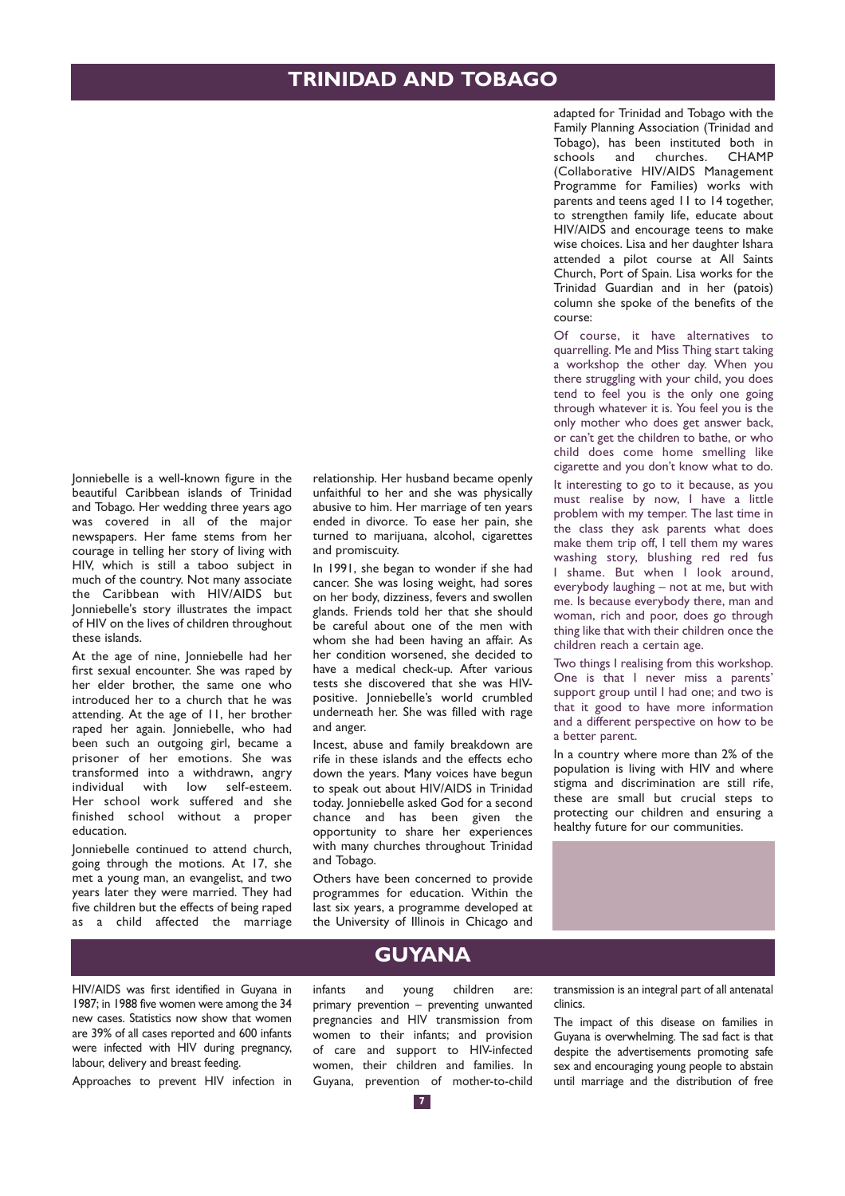Jonniebelle is a well-known figure in the beautiful Caribbean islands of Trinidad and Tobago. Her wedding three years ago was covered in all of the major newspapers. Her fame stems from her courage in telling her story of living with HIV, which is still a taboo subject in much of the country. Not many associate the Caribbean with HIV/AIDS but Jonniebelle's story illustrates the impact of HIV on the lives of children throughout these islands.

At the age of nine, Jonniebelle had her first sexual encounter. She was raped by her elder brother, the same one who introduced her to a church that he was attending. At the age of 11, her brother raped her again. Jonniebelle, who had been such an outgoing girl, became a prisoner of her emotions. She was transformed into a withdrawn, angry individual with low self-esteem. Her school work suffered and she finished school without a proper education.

Jonniebelle continued to attend church, going through the motions. At 17, she met a young man, an evangelist, and two years later they were married. They had five children but the effects of being raped as a child affected the marriage relationship. Her husband became openly unfaithful to her and she was physically abusive to him. Her marriage of ten years ended in divorce. To ease her pain, she turned to marijuana, alcohol, cigarettes and promiscuity.

In 1991, she began to wonder if she had cancer. She was losing weight, had sores on her body, dizziness, fevers and swollen glands. Friends told her that she should be careful about one of the men with whom she had been having an affair. As her condition worsened, she decided to have a medical check-up. After various tests she discovered that she was HIVpositive. Jonniebelle's world crumbled underneath her. She was filled with rage and anger.

Incest, abuse and family breakdown are rife in these islands and the effects echo down the years. Many voices have begun to speak out about HIV/AIDS in Trinidad today. Jonniebelle asked God for a second chance and has been given the opportunity to share her experiences with many churches throughout Trinidad and Tobago.

Others have been concerned to provide programmes for education. Within the last six years, a programme developed at the University of Illinois in Chicago and adapted for Trinidad and Tobago with the Family Planning Association (Trinidad and Tobago), has been instituted both in schools and churches. CHAMP (Collaborative HIV/AIDS Management Programme for Families) works with parents and teens aged 11 to 14 together, to strengthen family life, educate about HIV/AIDS and encourage teens to make wise choices. Lisa and her daughter Ishara attended a pilot course at All Saints Church, Port of Spain. Lisa works for the Trinidad Guardian and in her (patois) column she spoke of the benefits of the course:

Of course, it have alternatives to quarrelling. Me and Miss Thing start taking a workshop the other day. When you there struggling with your child, you does tend to feel you is the only one going through whatever it is. You feel you is the only mother who does get answer back, or can't get the children to bathe, or who child does come home smelling like cigarette and you don't know what to do.

It interesting to go to it because, as you must realise by now, I have a little problem with my temper. The last time in the class they ask parents what does make them trip off, I tell them my wares washing story, blushing red red fus I shame. But when I look around, everybody laughing – not at me, but with me. Is because everybody there, man and woman, rich and poor, does go through thing like that with their children once the children reach a certain age.

Two things I realising from this workshop. One is that I never miss a parents' support group until I had one; and two is that it good to have more information and a different perspective on how to be a better parent.

In a country where more than 2% of the population is living with HIV and where stigma and discrimination are still rife, these are small but crucial steps to protecting our children and ensuring a healthy future for our communities.



HIV/AIDS was first identified in Guyana in 1987; in 1988 five women were among the 34 new cases. Statistics now show that women are 39% of all cases reported and 600 infants were infected with HIV during pregnancy, labour, delivery and breast feeding.

Approaches to prevent HIV infection in

### **GUYANA**

infants and young children are: primary prevention – preventing unwanted pregnancies and HIV transmission from women to their infants; and provision of care and support to HIV-infected women, their children and families. In Guyana, prevention of mother-to-child

transmission is an integral part of all antenatal clinics.

The impact of this disease on families in Guyana is overwhelming. The sad fact is that despite the advertisements promoting safe sex and encouraging young people to abstain until marriage and the distribution of free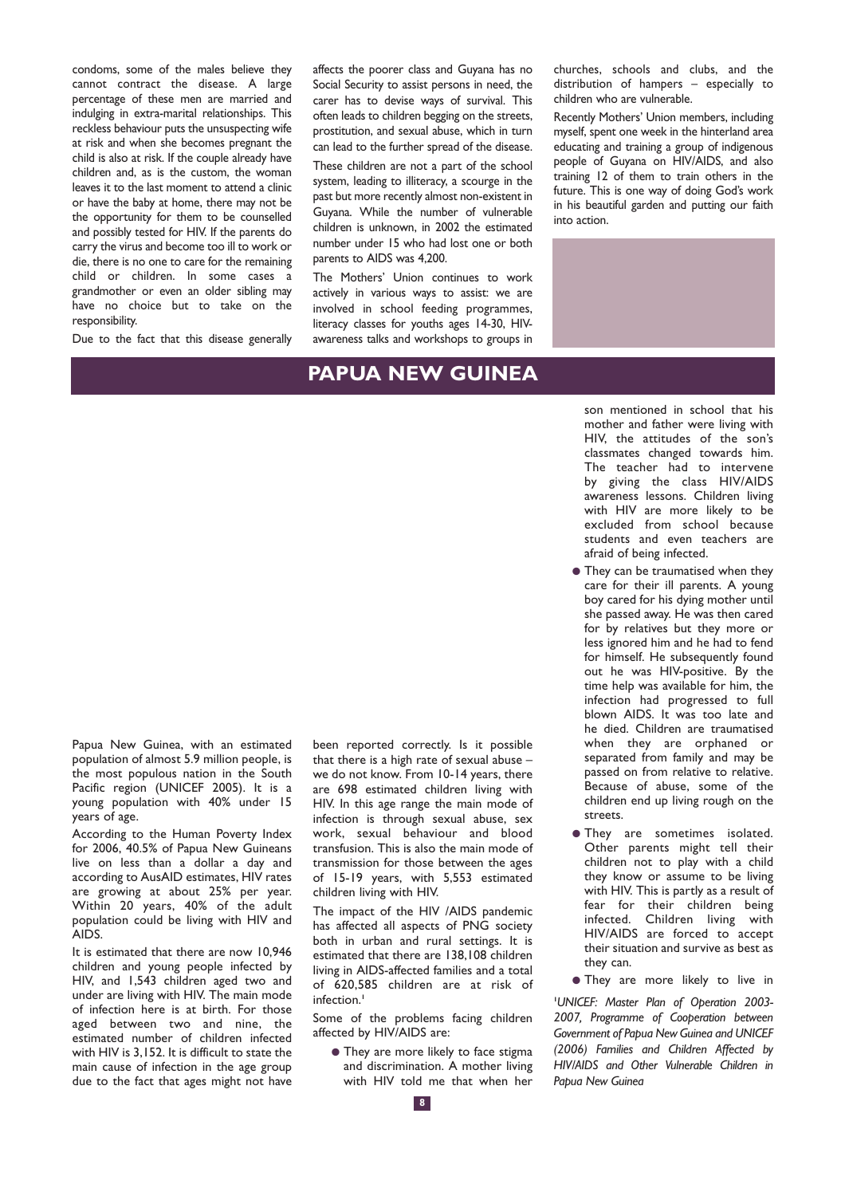condoms, some of the males believe they cannot contract the disease. A large percentage of these men are married and indulging in extra-marital relationships. This reckless behaviour puts the unsuspecting wife at risk and when she becomes pregnant the child is also at risk. If the couple already have children and, as is the custom, the woman leaves it to the last moment to attend a clinic or have the baby at home, there may not be the opportunity for them to be counselled and possibly tested for HIV. If the parents do carry the virus and become too ill to work or die, there is no one to care for the remaining child or children. In some cases a grandmother or even an older sibling may have no choice but to take on the responsibility.

Due to the fact that this disease generally

affects the poorer class and Guyana has no Social Security to assist persons in need, the carer has to devise ways of survival. This often leads to children begging on the streets, prostitution, and sexual abuse, which in turn can lead to the further spread of the disease.

These children are not a part of the school system, leading to illiteracy, a scourge in the past but more recently almost non-existent in Guyana. While the number of vulnerable children is unknown, in 2002 the estimated number under 15 who had lost one or both parents to AIDS was 4,200.

The Mothers' Union continues to work actively in various ways to assist: we are involved in school feeding programmes, literacy classes for youths ages 14-30, HIVawareness talks and workshops to groups in

## **PAPUA NEW GUINEA**

churches, schools and clubs, and the distribution of hampers – especially to children who are vulnerable.

Recently Mothers' Union members, including myself, spent one week in the hinterland area educating and training a group of indigenous people of Guyana on HIV/AIDS, and also training 12 of them to train others in the future. This is one way of doing God's work in his beautiful garden and putting our faith into action.



son mentioned in school that his mother and father were living with HIV, the attitudes of the son's classmates changed towards him. The teacher had to intervene by giving the class HIV/AIDS awareness lessons. Children living with HIV are more likely to be excluded from school because students and even teachers are afraid of being infected.

- They can be traumatised when they care for their ill parents. A young boy cared for his dying mother until she passed away. He was then cared for by relatives but they more or less ignored him and he had to fend for himself. He subsequently found out he was HIV-positive. By the time help was available for him, the infection had progressed to full blown AIDS. It was too late and he died. Children are traumatised when they are orphaned or separated from family and may be passed on from relative to relative. Because of abuse, some of the children end up living rough on the streets.
- They are sometimes isolated. Other parents might tell their children not to play with a child they know or assume to be living with HIV. This is partly as a result of fear for their children being infected. Children living with HIV/AIDS are forced to accept their situation and survive as best as they can.
- They are more likely to live in

**1** *UNICEF: Master Plan of Operation 2003- 2007, Programme of Cooperation between Government of Papua New Guinea and UNICEF (2006) Families and Children Affected by HIV/AIDS and Other Vulnerable Children in Papua New Guinea*

Papua New Guinea, with an estimated population of almost 5.9 million people, is the most populous nation in the South Pacific region (UNICEF 2005). It is a young population with 40% under 15 years of age.

According to the Human Poverty Index for 2006, 40.5% of Papua New Guineans live on less than a dollar a day and according to AusAID estimates, HIV rates are growing at about 25% per year. Within 20 years, 40% of the adult population could be living with HIV and AIDS.

It is estimated that there are now 10,946 children and young people infected by HIV, and 1,543 children aged two and under are living with HIV. The main mode of infection here is at birth. For those aged between two and nine, the estimated number of children infected with HIV is 3,152. It is difficult to state the main cause of infection in the age group due to the fact that ages might not have been reported correctly. Is it possible that there is a high rate of sexual abuse – we do not know. From 10-14 years, there are 698 estimated children living with HIV. In this age range the main mode of infection is through sexual abuse, sex work, sexual behaviour and blood transfusion. This is also the main mode of transmission for those between the ages of 15-19 years, with 5,553 estimated children living with HIV.

The impact of the HIV /AIDS pandemic has affected all aspects of PNG society both in urban and rural settings. It is estimated that there are 138,108 children living in AIDS-affected families and a total of 620,585 children are at risk of infection.**<sup>1</sup>**

Some of the problems facing children affected by HIV/AIDS are:

● They are more likely to face stigma and discrimination. A mother living with HIV told me that when her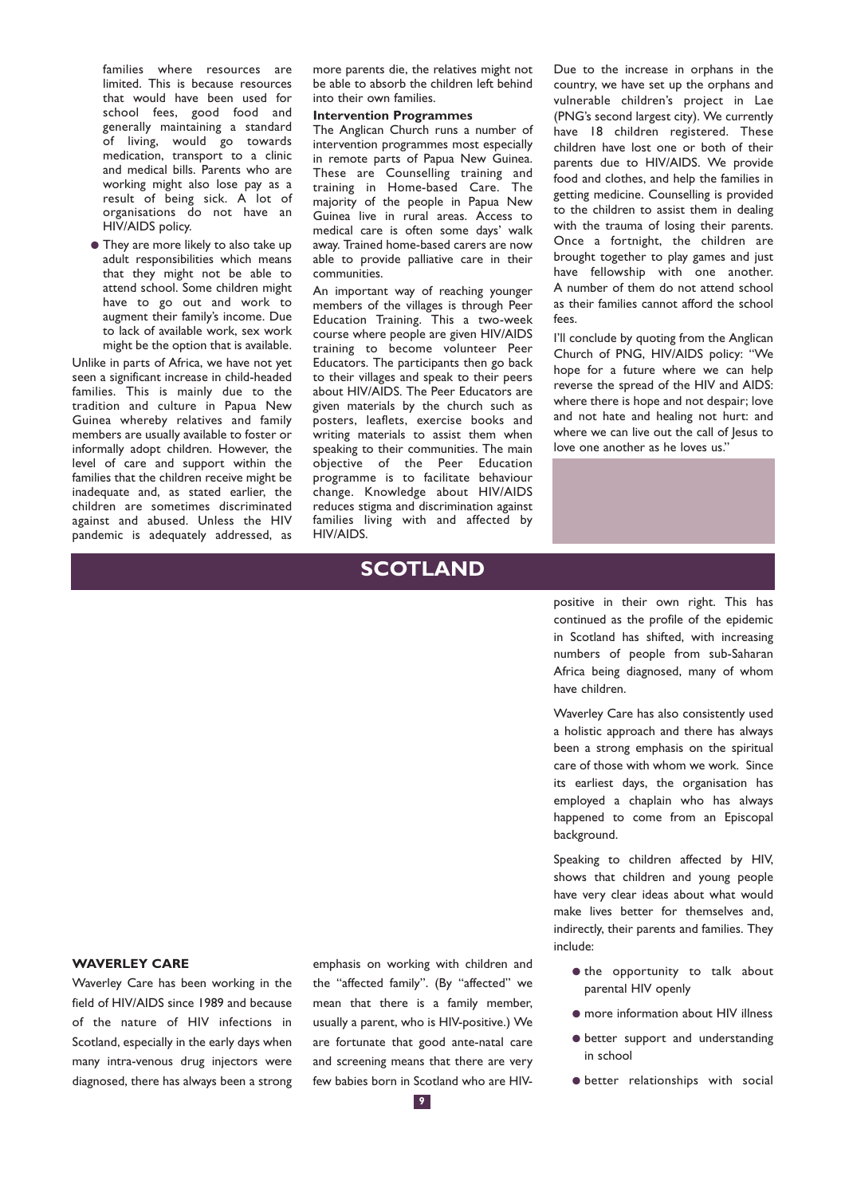families where resources are limited. This is because resources that would have been used for school fees, good food and generally maintaining a standard of living, would go towards medication, transport to a clinic and medical bills. Parents who are working might also lose pay as a result of being sick. A lot of organisations do not have an HIV/AIDS policy.

● They are more likely to also take up adult responsibilities which means that they might not be able to attend school. Some children might have to go out and work to augment their family's income. Due to lack of available work, sex work might be the option that is available.

Unlike in parts of Africa, we have not yet seen a significant increase in child-headed families. This is mainly due to the tradition and culture in Papua New Guinea whereby relatives and family members are usually available to foster or informally adopt children. However, the level of care and support within the families that the children receive might be inadequate and, as stated earlier, the children are sometimes discriminated against and abused. Unless the HIV pandemic is adequately addressed, as

more parents die, the relatives might not be able to absorb the children left behind into their own families.

#### **Intervention Programmes**

The Anglican Church runs a number of intervention programmes most especially in remote parts of Papua New Guinea. These are Counselling training and training in Home-based Care. The majority of the people in Papua New Guinea live in rural areas. Access to medical care is often some days' walk away. Trained home-based carers are now able to provide palliative care in their communities.

An important way of reaching younger members of the villages is through Peer Education Training. This a two-week course where people are given HIV/AIDS training to become volunteer Peer Educators. The participants then go back to their villages and speak to their peers about HIV/AIDS. The Peer Educators are given materials by the church such as posters, leaflets, exercise books and writing materials to assist them when speaking to their communities. The main objective of the Peer Education programme is to facilitate behaviour change. Knowledge about HIV/AIDS reduces stigma and discrimination against families living with and affected by HIV/AIDS.

## **SCOTLAND**

Due to the increase in orphans in the country, we have set up the orphans and vulnerable children's project in Lae (PNG's second largest city). We currently have 18 children registered. These children have lost one or both of their parents due to HIV/AIDS. We provide food and clothes, and help the families in getting medicine. Counselling is provided to the children to assist them in dealing with the trauma of losing their parents. Once a fortnight, the children are brought together to play games and just have fellowship with one another. A number of them do not attend school as their families cannot afford the school fees.

I'll conclude by quoting from the Anglican Church of PNG, HIV/AIDS policy: "We hope for a future where we can help reverse the spread of the HIV and AIDS: where there is hope and not despair; love and not hate and healing not hurt: and where we can live out the call of Jesus to love one another as he loves us."

positive in their own right. This has continued as the profile of the epidemic in Scotland has shifted, with increasing numbers of people from sub-Saharan Africa being diagnosed, many of whom have children.

Waverley Care has also consistently used a holistic approach and there has always been a strong emphasis on the spiritual care of those with whom we work. Since its earliest days, the organisation has employed a chaplain who has always happened to come from an Episcopal background.

Speaking to children affected by HIV, shows that children and young people have very clear ideas about what would make lives better for themselves and, indirectly, their parents and families. They include:

- $\bullet$  the opportunity to talk about parental HIV openly
- $\bullet$  more information about HIV illness
- better support and understanding in school
- better relationships with social

#### **WAVERLEY CARE**

Waverley Care has been working in the field of HIV/AIDS since 1989 and because of the nature of HIV infections in Scotland, especially in the early days when many intra-venous drug injectors were diagnosed, there has always been a strong emphasis on working with children and the "affected family". (By "affected" we mean that there is a family member, usually a parent, who is HIV-positive.) We are fortunate that good ante-natal care and screening means that there are very few babies born in Scotland who are HIV-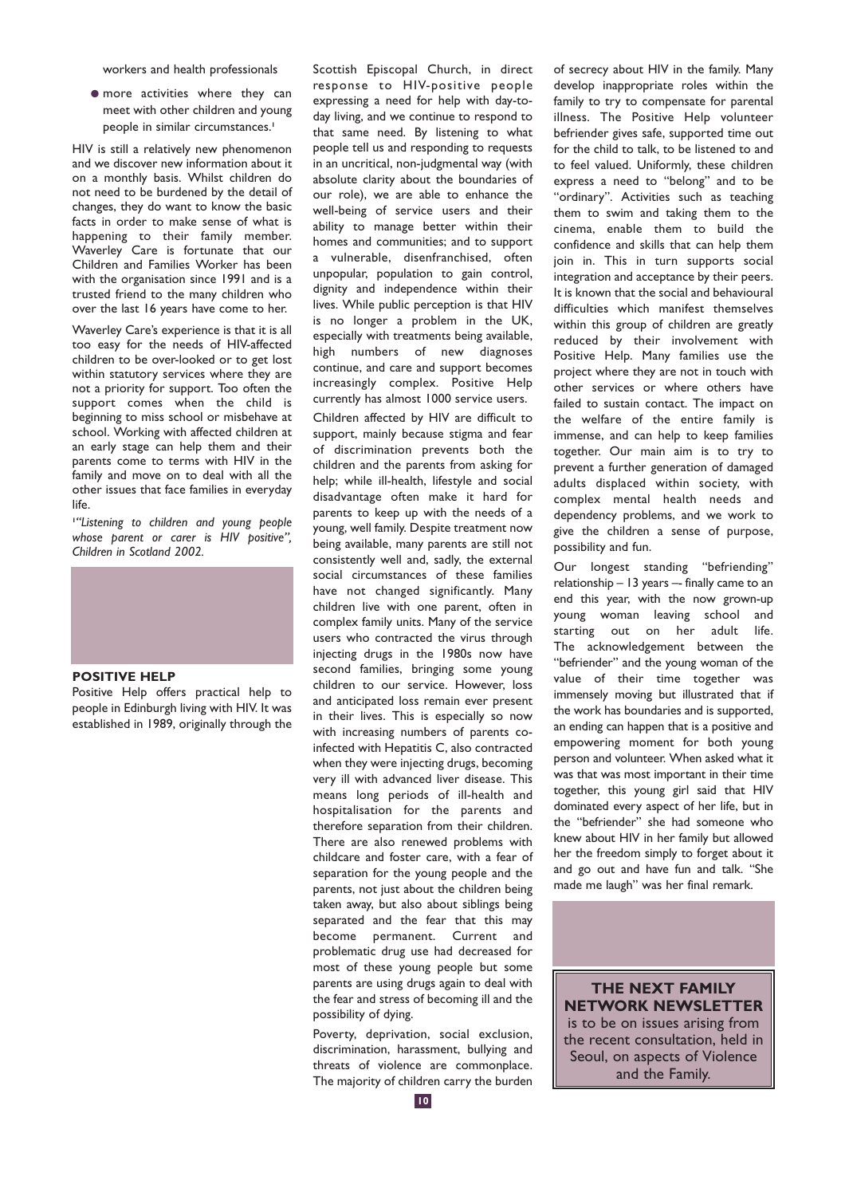workers and health professionals

● more activities where they can meet with other children and young people in similar circumstances.**<sup>1</sup>**

HIV is still a relatively new phenomenon and we discover new information about it on a monthly basis. Whilst children do not need to be burdened by the detail of changes, they do want to know the basic facts in order to make sense of what is happening to their family member. Waverley Care is fortunate that our Children and Families Worker has been with the organisation since 1991 and is a trusted friend to the many children who over the last 16 years have come to her.

Waverley Care's experience is that it is all too easy for the needs of HIV-affected children to be over-looked or to get lost within statutory services where they are not a priority for support. Too often the support comes when the child is beginning to miss school or misbehave at school. Working with affected children at an early stage can help them and their parents come to terms with HIV in the family and move on to deal with all the other issues that face families in everyday life.

**1** *"Listening to children and young people whose parent or carer is HIV positive", Children in Scotland 2002.*



#### **POSITIVE HELP**

Positive Help offers practical help to people in Edinburgh living with HIV. It was established in 1989, originally through the Scottish Episcopal Church, in direct response to HIV-positive people expressing a need for help with day-today living, and we continue to respond to that same need. By listening to what people tell us and responding to requests in an uncritical, non-judgmental way (with absolute clarity about the boundaries of our role), we are able to enhance the well-being of service users and their ability to manage better within their homes and communities; and to support a vulnerable, disenfranchised, often unpopular, population to gain control, dignity and independence within their lives. While public perception is that HIV is no longer a problem in the UK, especially with treatments being available, high numbers of new diagnoses continue, and care and support becomes increasingly complex. Positive Help currently has almost 1000 service users.

Children affected by HIV are difficult to support, mainly because stigma and fear of discrimination prevents both the children and the parents from asking for help; while ill-health, lifestyle and social disadvantage often make it hard for parents to keep up with the needs of a young, well family. Despite treatment now being available, many parents are still not consistently well and, sadly, the external social circumstances of these families have not changed significantly. Many children live with one parent, often in complex family units. Many of the service users who contracted the virus through injecting drugs in the 1980s now have second families, bringing some young children to our service. However, loss and anticipated loss remain ever present in their lives. This is especially so now with increasing numbers of parents coinfected with Hepatitis C, also contracted when they were injecting drugs, becoming very ill with advanced liver disease. This means long periods of ill-health and hospitalisation for the parents and therefore separation from their children. There are also renewed problems with childcare and foster care, with a fear of separation for the young people and the parents, not just about the children being taken away, but also about siblings being separated and the fear that this may become permanent. Current and problematic drug use had decreased for most of these young people but some parents are using drugs again to deal with the fear and stress of becoming ill and the possibility of dying.

Poverty, deprivation, social exclusion, discrimination, harassment, bullying and threats of violence are commonplace. The majority of children carry the burden of secrecy about HIV in the family. Many develop inappropriate roles within the family to try to compensate for parental illness. The Positive Help volunteer befriender gives safe, supported time out for the child to talk, to be listened to and to feel valued. Uniformly, these children express a need to "belong" and to be "ordinary". Activities such as teaching them to swim and taking them to the cinema, enable them to build the confidence and skills that can help them join in. This in turn supports social integration and acceptance by their peers. It is known that the social and behavioural difficulties which manifest themselves within this group of children are greatly reduced by their involvement with Positive Help. Many families use the project where they are not in touch with other services or where others have failed to sustain contact. The impact on the welfare of the entire family is immense, and can help to keep families together. Our main aim is to try to prevent a further generation of damaged adults displaced within society, with complex mental health needs and dependency problems, and we work to give the children a sense of purpose, possibility and fun.

Our longest standing "befriending" relationship – 13 years –- finally came to an end this year, with the now grown-up young woman leaving school and starting out on her adult life. The acknowledgement between the "befriender" and the young woman of the value of their time together was immensely moving but illustrated that if the work has boundaries and is supported, an ending can happen that is a positive and empowering moment for both young person and volunteer. When asked what it was that was most important in their time together, this young girl said that HIV dominated every aspect of her life, but in the "befriender" she had someone who knew about HIV in her family but allowed her the freedom simply to forget about it and go out and have fun and talk. "She made me laugh" was her final remark.

**THE NEXT FAMILY NETWORK NEWSLETTER** is to be on issues arising from the recent consultation, held in Seoul, on aspects of Violence and the Family.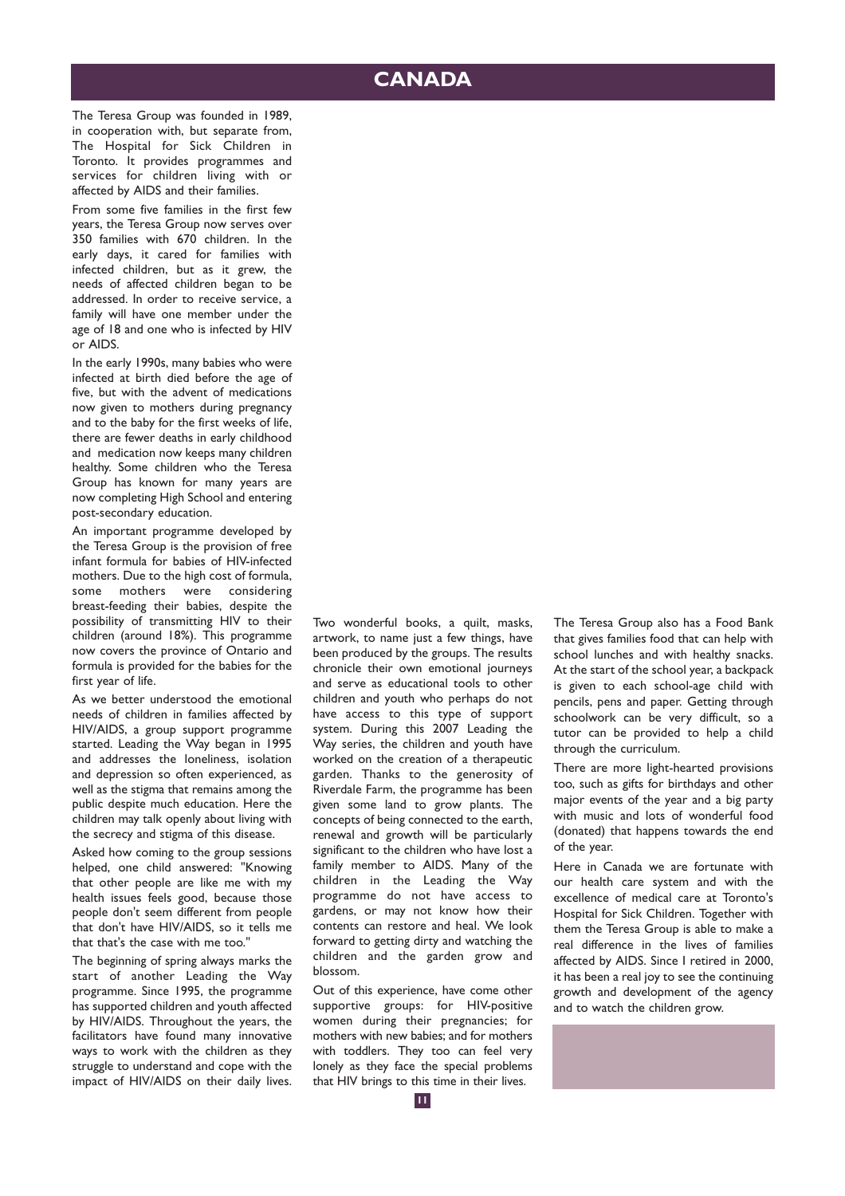## **CANADA**

The Teresa Group was founded in 1989, in cooperation with, but separate from, The Hospital for Sick Children in Toronto. It provides programmes and services for children living with or affected by AIDS and their families.

From some five families in the first few years, the Teresa Group now serves over 350 families with 670 children. In the early days, it cared for families with infected children, but as it grew, the needs of affected children began to be addressed. In order to receive service, a family will have one member under the age of 18 and one who is infected by HIV or AIDS.

In the early 1990s, many babies who were infected at birth died before the age of five, but with the advent of medications now given to mothers during pregnancy and to the baby for the first weeks of life, there are fewer deaths in early childhood and medication now keeps many children healthy. Some children who the Teresa Group has known for many years are now completing High School and entering post-secondary education.

An important programme developed by the Teresa Group is the provision of free infant formula for babies of HIV-infected mothers. Due to the high cost of formula, some mothers were considering breast-feeding their babies, despite the possibility of transmitting HIV to their children (around 18%). This programme now covers the province of Ontario and formula is provided for the babies for the first year of life.

As we better understood the emotional needs of children in families affected by HIV/AIDS, a group support programme started. Leading the Way began in 1995 and addresses the loneliness, isolation and depression so often experienced, as well as the stigma that remains among the public despite much education. Here the children may talk openly about living with the secrecy and stigma of this disease.

Asked how coming to the group sessions helped, one child answered: "Knowing that other people are like me with my health issues feels good, because those people don't seem different from people that don't have HIV/AIDS, so it tells me that that's the case with me too."

The beginning of spring always marks the start of another Leading the Way programme. Since 1995, the programme has supported children and youth affected by HIV/AIDS. Throughout the years, the facilitators have found many innovative ways to work with the children as they struggle to understand and cope with the impact of HIV/AIDS on their daily lives. Two wonderful books, a quilt, masks, artwork, to name just a few things, have been produced by the groups. The results chronicle their own emotional journeys and serve as educational tools to other children and youth who perhaps do not have access to this type of support system. During this 2007 Leading the Way series, the children and youth have worked on the creation of a therapeutic garden. Thanks to the generosity of Riverdale Farm, the programme has been given some land to grow plants. The concepts of being connected to the earth, renewal and growth will be particularly significant to the children who have lost a family member to AIDS. Many of the children in the Leading the Way programme do not have access to gardens, or may not know how their contents can restore and heal. We look forward to getting dirty and watching the children and the garden grow and blossom.

Out of this experience, have come other supportive groups: for HIV-positive women during their pregnancies; for mothers with new babies; and for mothers with toddlers. They too can feel very lonely as they face the special problems that HIV brings to this time in their lives.

The Teresa Group also has a Food Bank that gives families food that can help with school lunches and with healthy snacks. At the start of the school year, a backpack is given to each school-age child with pencils, pens and paper. Getting through schoolwork can be very difficult, so a tutor can be provided to help a child through the curriculum.

There are more light-hearted provisions too, such as gifts for birthdays and other major events of the year and a big party with music and lots of wonderful food (donated) that happens towards the end of the year.

Here in Canada we are fortunate with our health care system and with the excellence of medical care at Toronto's Hospital for Sick Children. Together with them the Teresa Group is able to make a real difference in the lives of families affected by AIDS. Since I retired in 2000, it has been a real joy to see the continuing growth and development of the agency and to watch the children grow.